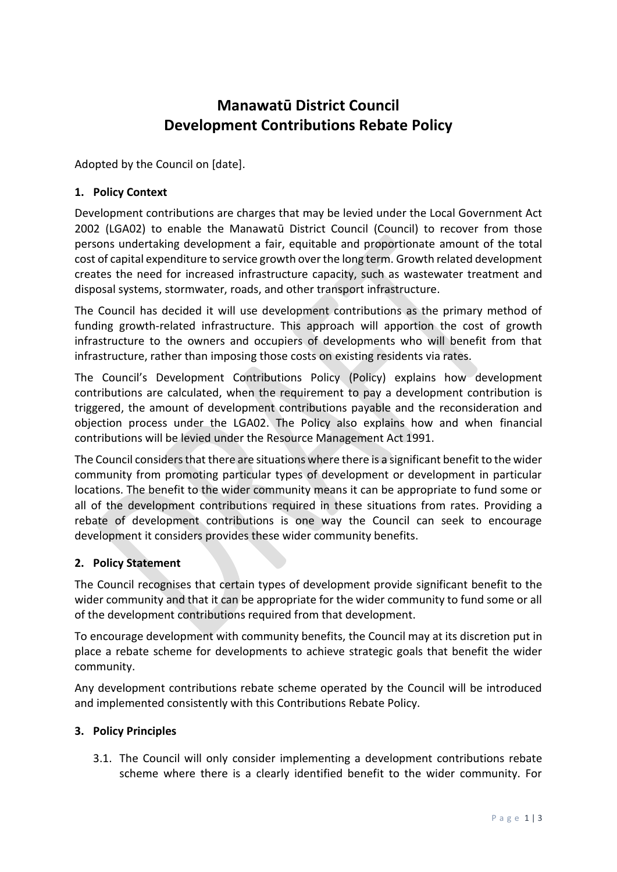# **Manawatū District Council Development Contributions Rebate Policy**

Adopted by the Council on [date].

### **1. Policy Context**

Development contributions are charges that may be levied under the Local Government Act 2002 (LGA02) to enable the Manawatū District Council (Council) to recover from those persons undertaking development a fair, equitable and proportionate amount of the total cost of capital expenditure to service growth over the long term. Growth related development creates the need for increased infrastructure capacity, such as wastewater treatment and disposal systems, stormwater, roads, and other transport infrastructure.

The Council has decided it will use development contributions as the primary method of funding growth-related infrastructure. This approach will apportion the cost of growth infrastructure to the owners and occupiers of developments who will benefit from that infrastructure, rather than imposing those costs on existing residents via rates.

The Council's Development Contributions Policy (Policy) explains how development contributions are calculated, when the requirement to pay a development contribution is triggered, the amount of development contributions payable and the reconsideration and objection process under the LGA02. The Policy also explains how and when financial contributions will be levied under the Resource Management Act 1991.

The Council considers that there are situations where there is a significant benefit to the wider community from promoting particular types of development or development in particular locations. The benefit to the wider community means it can be appropriate to fund some or all of the development contributions required in these situations from rates. Providing a rebate of development contributions is one way the Council can seek to encourage development it considers provides these wider community benefits.

#### **2. Policy Statement**

The Council recognises that certain types of development provide significant benefit to the wider community and that it can be appropriate for the wider community to fund some or all of the development contributions required from that development.

To encourage development with community benefits, the Council may at its discretion put in place a rebate scheme for developments to achieve strategic goals that benefit the wider community.

Any development contributions rebate scheme operated by the Council will be introduced and implemented consistently with this Contributions Rebate Policy.

#### **3. Policy Principles**

3.1. The Council will only consider implementing a development contributions rebate scheme where there is a clearly identified benefit to the wider community. For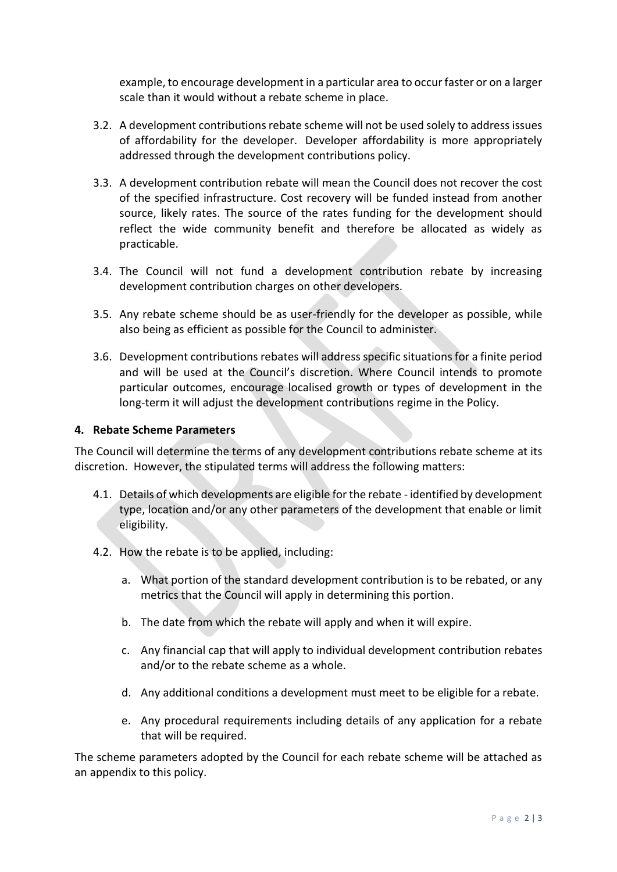example, to encourage development in a particular area to occur faster or on a larger scale than it would without a rebate scheme in place.

- 3.2. A development contributions rebate scheme will not be used solely to address issues of affordability for the developer. Developer affordability is more appropriately addressed through the development contributions policy.
- 3.3. A development contribution rebate will mean the Council does not recover the cost of the specified infrastructure. Cost recovery will be funded instead from another source, likely rates. The source of the rates funding for the development should reflect the wide community benefit and therefore be allocated as widely as practicable.
- 3.4. The Council will not fund a development contribution rebate by increasing development contribution charges on other developers.
- 3.5. Any rebate scheme should be as user-friendly for the developer as possible, while also being as efficient as possible for the Council to administer.
- 3.6. Development contributions rebates will address specific situations for a finite period and will be used at the Council's discretion. Where Council intends to promote particular outcomes, encourage localised growth or types of development in the long-term it will adjust the development contributions regime in the Policy.

#### **4. Rebate Scheme Parameters**

The Council will determine the terms of any development contributions rebate scheme at its discretion. However, the stipulated terms will address the following matters:

- 4.1. Details of which developments are eligible for the rebate identified by development type, location and/or any other parameters of the development that enable or limit eligibility.
- 4.2. How the rebate is to be applied, including:
	- a. What portion of the standard development contribution is to be rebated, or any metrics that the Council will apply in determining this portion.
	- b. The date from which the rebate will apply and when it will expire.
	- c. Any financial cap that will apply to individual development contribution rebates and/or to the rebate scheme as a whole.
	- d. Any additional conditions a development must meet to be eligible for a rebate.
	- e. Any procedural requirements including details of any application for a rebate that will be required.

The scheme parameters adopted by the Council for each rebate scheme will be attached as an appendix to this policy.